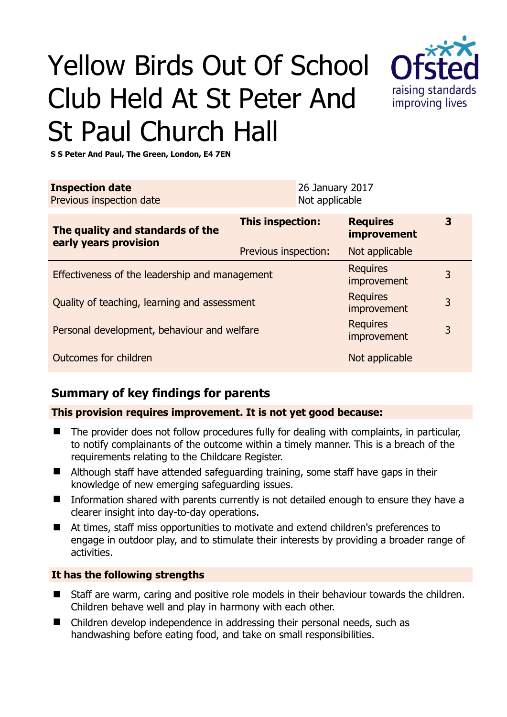# Yellow Birds Out Of School Club Held At St Peter And St Paul Church Hall



**S S Peter And Paul, The Green, London, E4 7EN** 

| <b>Inspection date</b><br>Previous inspection date        | 26 January 2017<br>Not applicable |                                       |   |
|-----------------------------------------------------------|-----------------------------------|---------------------------------------|---|
| The quality and standards of the<br>early years provision | <b>This inspection:</b>           | <b>Requires</b><br><b>improvement</b> | 3 |
|                                                           | Previous inspection:              | Not applicable                        |   |
| Effectiveness of the leadership and management            |                                   | <b>Requires</b><br>improvement        | 3 |
| Quality of teaching, learning and assessment              |                                   | <b>Requires</b><br>improvement        | 3 |
| Personal development, behaviour and welfare               |                                   | <b>Requires</b><br>improvement        | 3 |
| Outcomes for children                                     |                                   | Not applicable                        |   |

# **Summary of key findings for parents**

### **This provision requires improvement. It is not yet good because:**

- $\blacksquare$  The provider does not follow procedures fully for dealing with complaints, in particular, to notify complainants of the outcome within a timely manner. This is a breach of the requirements relating to the Childcare Register.
- Although staff have attended safeguarding training, some staff have gaps in their knowledge of new emerging safeguarding issues.
- **Information shared with parents currently is not detailed enough to ensure they have a** clearer insight into day-to-day operations.
- At times, staff miss opportunities to motivate and extend children's preferences to engage in outdoor play, and to stimulate their interests by providing a broader range of activities.

### **It has the following strengths**

- Staff are warm, caring and positive role models in their behaviour towards the children. Children behave well and play in harmony with each other.
- Children develop independence in addressing their personal needs, such as handwashing before eating food, and take on small responsibilities.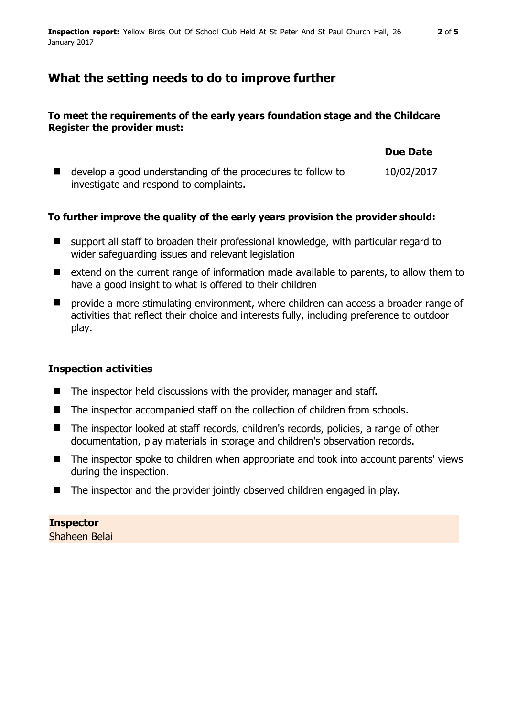# **What the setting needs to do to improve further**

## **To meet the requirements of the early years foundation stage and the Childcare Register the provider must:**

|                                                                                                       | <b>Due Date</b> |
|-------------------------------------------------------------------------------------------------------|-----------------|
| develop a good understanding of the procedures to follow to<br>investigate and respond to complaints. | 10/02/2017      |

## **To further improve the quality of the early years provision the provider should:**

- support all staff to broaden their professional knowledge, with particular regard to wider safeguarding issues and relevant legislation
- extend on the current range of information made available to parents, to allow them to have a good insight to what is offered to their children
- **P** provide a more stimulating environment, where children can access a broader range of activities that reflect their choice and interests fully, including preference to outdoor play.

## **Inspection activities**

- $\blacksquare$  The inspector held discussions with the provider, manager and staff.
- The inspector accompanied staff on the collection of children from schools.
- The inspector looked at staff records, children's records, policies, a range of other documentation, play materials in storage and children's observation records.
- The inspector spoke to children when appropriate and took into account parents' views during the inspection.
- The inspector and the provider jointly observed children engaged in play.

**Inspector**  Shaheen Belai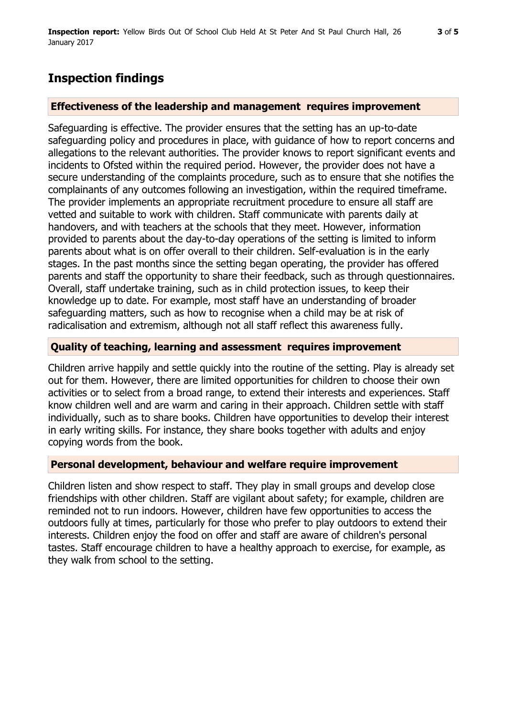# **Inspection findings**

#### **Effectiveness of the leadership and management requires improvement**

Safeguarding is effective. The provider ensures that the setting has an up-to-date safeguarding policy and procedures in place, with guidance of how to report concerns and allegations to the relevant authorities. The provider knows to report significant events and incidents to Ofsted within the required period. However, the provider does not have a secure understanding of the complaints procedure, such as to ensure that she notifies the complainants of any outcomes following an investigation, within the required timeframe. The provider implements an appropriate recruitment procedure to ensure all staff are vetted and suitable to work with children. Staff communicate with parents daily at handovers, and with teachers at the schools that they meet. However, information provided to parents about the day-to-day operations of the setting is limited to inform parents about what is on offer overall to their children. Self-evaluation is in the early stages. In the past months since the setting began operating, the provider has offered parents and staff the opportunity to share their feedback, such as through questionnaires. Overall, staff undertake training, such as in child protection issues, to keep their knowledge up to date. For example, most staff have an understanding of broader safeguarding matters, such as how to recognise when a child may be at risk of radicalisation and extremism, although not all staff reflect this awareness fully.

## **Quality of teaching, learning and assessment requires improvement**

Children arrive happily and settle quickly into the routine of the setting. Play is already set out for them. However, there are limited opportunities for children to choose their own activities or to select from a broad range, to extend their interests and experiences. Staff know children well and are warm and caring in their approach. Children settle with staff individually, such as to share books. Children have opportunities to develop their interest in early writing skills. For instance, they share books together with adults and enjoy copying words from the book.

### **Personal development, behaviour and welfare require improvement**

Children listen and show respect to staff. They play in small groups and develop close friendships with other children. Staff are vigilant about safety; for example, children are reminded not to run indoors. However, children have few opportunities to access the outdoors fully at times, particularly for those who prefer to play outdoors to extend their interests. Children enjoy the food on offer and staff are aware of children's personal tastes. Staff encourage children to have a healthy approach to exercise, for example, as they walk from school to the setting.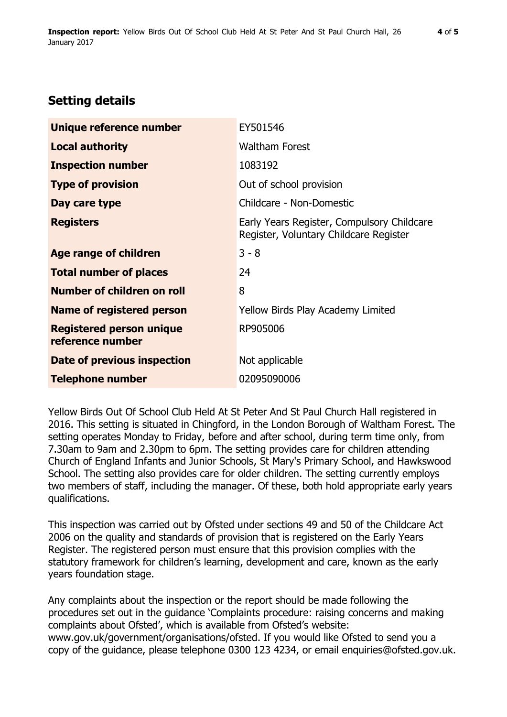# **Setting details**

| Unique reference number                             | EY501546                                                                             |
|-----------------------------------------------------|--------------------------------------------------------------------------------------|
| <b>Local authority</b>                              | <b>Waltham Forest</b>                                                                |
| <b>Inspection number</b>                            | 1083192                                                                              |
| <b>Type of provision</b>                            | Out of school provision                                                              |
| Day care type                                       | Childcare - Non-Domestic                                                             |
| <b>Registers</b>                                    | Early Years Register, Compulsory Childcare<br>Register, Voluntary Childcare Register |
| Age range of children                               | $3 - 8$                                                                              |
| <b>Total number of places</b>                       | 24                                                                                   |
| Number of children on roll                          | 8                                                                                    |
| <b>Name of registered person</b>                    | Yellow Birds Play Academy Limited                                                    |
| <b>Registered person unique</b><br>reference number | RP905006                                                                             |
| Date of previous inspection                         | Not applicable                                                                       |
| <b>Telephone number</b>                             | 02095090006                                                                          |

Yellow Birds Out Of School Club Held At St Peter And St Paul Church Hall registered in 2016. This setting is situated in Chingford, in the London Borough of Waltham Forest. The setting operates Monday to Friday, before and after school, during term time only, from 7.30am to 9am and 2.30pm to 6pm. The setting provides care for children attending Church of England Infants and Junior Schools, St Mary's Primary School, and Hawkswood School. The setting also provides care for older children. The setting currently employs two members of staff, including the manager. Of these, both hold appropriate early years qualifications.

This inspection was carried out by Ofsted under sections 49 and 50 of the Childcare Act 2006 on the quality and standards of provision that is registered on the Early Years Register. The registered person must ensure that this provision complies with the statutory framework for children's learning, development and care, known as the early years foundation stage.

Any complaints about the inspection or the report should be made following the procedures set out in the guidance 'Complaints procedure: raising concerns and making complaints about Ofsted', which is available from Ofsted's website: www.gov.uk/government/organisations/ofsted. If you would like Ofsted to send you a copy of the guidance, please telephone 0300 123 4234, or email enquiries@ofsted.gov.uk.